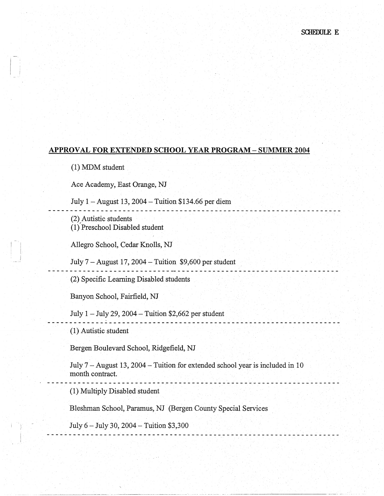**. . . . . . . . . . . . . . . . . .** 

## **APPROVAL FOR EXTENDED SCHOOL YEAR PROGRAM - SUMMER 2004**

(1) MDM student

 $\vert \cdot \vert$ 

i L I

Ace Academy, East Orange, NJ

July 1 -August 13, 2004-Tuition \$134.66 per diem

(2) Autistic students

(!),Preschool Disabled student

Allegro School, Cedar Knolls, NJ

July  $7 -$ August 17, 2004 - Tuition \$9,600 per student

------------------------------------------------------------------ (2) Specific Learning Disabled students

Banyon School, Fairfield, NJ

July  $1 -$  July 29, 2004 - Tuition \$2,662 per student

(1) Autistic student

Bergen Boulevard School, Ridgefield, NJ

July 7 - August 13, 2004 - Tuition for extended school year is included in 10 month contract. . . - - ---- -- --- -- - - - --- - -- -- - - - - - -- - ----~ ------ - <sup>~</sup>- -- -- -- -- - - - -- - -- - - - ----

~~- ----·----~-~-------- ·--- -·-- ·-·- - ·---·--- ---------------~---~--

(1) Multiply Disabled student

Bleshman School, Paramus, NJ (Bergen County Special Services

July 6 - July 30, 2004 - Tuition \$3,300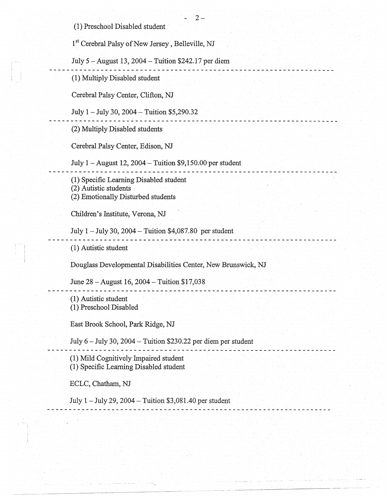(1) Preschool Disabled student ·

 $\vert \cdot$ I I

1<sup>st</sup> Cerebral Palsy of New Jersey, Belleville, NJ July *5* -August 13, 2004-Tuition \$242.17 per diem (1) Multiply Disabled student Cerebral Palsy Center, Clifton, NJ July 1 -July 30, 2004 - Tuition \$5,290.32 . . . . . . . . . . . . . . . (2) MultiplyDisabled students Cerebral Palsy Center, Edison, NJ July I -August 12, 2004-Tuition \$9,150.00 per student (1) Specific Learning Disabled student (2) Autistic students (2) Emotionally Disturbed students Children's Institute, Verona, NJ July  $1 -$  July 30, 2004  $-$  Tuition \$4,087.80 per student ------------------------------------------~--~--------~------------ . . (1) Autistic student Douglass Developmental Disabilities Center, New Brunswick, NJ June 28-August 16, 2004-Tuition \$17,038 . <u>. . . . . . . . . . . . . . . .</u> . . . . (1) Autistic student (1) Preschool Disabled East Brook School, Park Ridge, NJ July 6 - July 30, 2004 - Tuition \$230.22 per diem per student -- - - - ------ - -- -.. - -·- - -- --- ------ - - -- -- -- - - ---- -- - - -- - - --- -- -- --- - - - - - (1) Mild Cognitively Impaired student (1) Specific Leaming Disabled student ECLC, Chatham, NJ July I -July 29, 2004-Tuition \$3,081.40 per student

-------···-- ------···--·--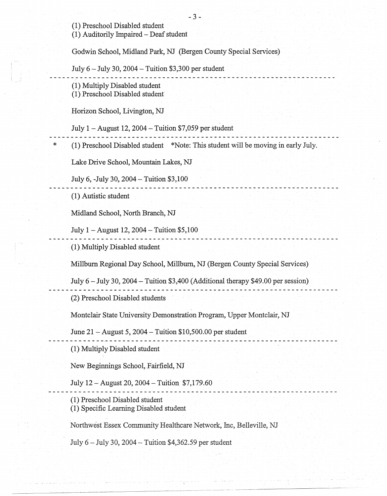-3- (1) Preschool Disabled student (1) Auditorily Impaired - Deaf student Godwin School, Midland Park, NJ (Bergen County Special Services) July  $6$  – July 30, 2004 – Tuition \$3,300 per student (1) Multiply Disabled student (1) Preschool Disabled student Horizon School, Livington, NJ July  $1 -$  August 12, 2004  $-$  Tuition \$7,059 per student (1) Preschool Disabled student \*Note: This student will be moving in early July. Lake Drive School, Mountain Lakes, NJ July 6, -July 30, 2004-Tuition \$3,100 (1) Autistic student Midland School, North Branch, NJ July  $1 -$ August 12, 2004  $-$  Tuition \$5,100 (!).Multiply Disabled student Millburn Regional Day School, Millburn, NJ (Bergen County Special Services) July  $6 -$  July 30, 2004  $-$  Tuition \$3,400 (Additional therapy \$49.00 per session) . **. . . . . . . . . . . .** . (2) Preschool Disabled students Montclair State University Demonstration Program, Upper Montclair, NJ June 21 -August 5, 2004 - Tuition \$10,500.00 per student <u> - - - - - - - - - - - - - - -</u> . (1) Multiply Disabled student New Beginnings School, Fairfield, NJ July 12 -August 20, 2004-Tuition \$7,179.60 (1) Preschool Disabled student (1) Specific Learning Disabled student Northwest Essex Community Healthcare Network, Inc, Belleville, NJ July 6 - July 30, 2004 - Tuition \$4,362.59 per student

\*